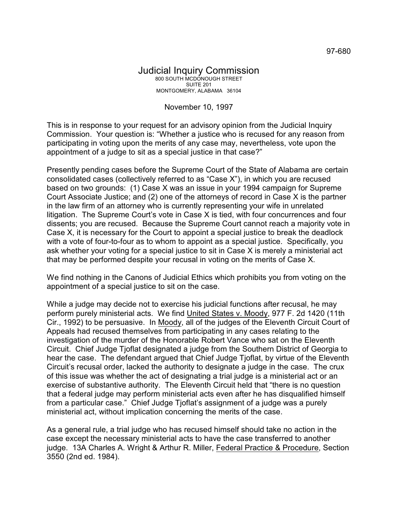## Judicial Inquiry Commission 800 SOUTH MCDONOUGH STREET SUITE 201 MONTGOMERY, ALABAMA 36104

## November 10, 1997

This is in response to your request for an advisory opinion from the Judicial Inquiry Commission. Your question is: "Whether a justice who is recused for any reason from participating in voting upon the merits of any case may, nevertheless, vote upon the appointment of a judge to sit as a special justice in that case?"

Presently pending cases before the Supreme Court of the State of Alabama are certain consolidated cases (collectively referred to as "Case X"), in which you are recused based on two grounds: (1) Case X was an issue in your 1994 campaign for Supreme Court Associate Justice; and (2) one of the attorneys of record in Case X is the partner in the law firm of an attorney who is currently representing your wife in unrelated litigation. The Supreme Court's vote in Case X is tied, with four concurrences and four dissents; you are recused. Because the Supreme Court cannot reach a majority vote in Case X, it is necessary for the Court to appoint a special justice to break the deadlock with a vote of four-to-four as to whom to appoint as a special justice. Specifically, you ask whether your voting for a special justice to sit in Case X is merely a ministerial act that may be performed despite your recusal in voting on the merits of Case X.

We find nothing in the Canons of Judicial Ethics which prohibits you from voting on the appointment of a special justice to sit on the case.

While a judge may decide not to exercise his judicial functions after recusal, he may perform purely ministerial acts. We find United States v. Moody, 977 F. 2d 1420 (11th Cir., 1992) to be persuasive. In Moody, all of the judges of the Eleventh Circuit Court of Appeals had recused themselves from participating in any cases relating to the investigation of the murder of the Honorable Robert Vance who sat on the Eleventh Circuit. Chief Judge Tjoflat designated a judge from the Southern District of Georgia to hear the case. The defendant argued that Chief Judge Tjoflat, by virtue of the Eleventh Circuit's recusal order, lacked the authority to designate a judge in the case. The crux of this issue was whether the act of designating a trial judge is a ministerial act or an exercise of substantive authority. The Eleventh Circuit held that "there is no question that a federal judge may perform ministerial acts even after he has disqualified himself from a particular case." Chief Judge Tjoflat's assignment of a judge was a purely ministerial act, without implication concerning the merits of the case.

As a general rule, a trial judge who has recused himself should take no action in the case except the necessary ministerial acts to have the case transferred to another judge. 13A Charles A. Wright & Arthur R. Miller, Federal Practice & Procedure, Section 3550 (2nd ed. 1984).